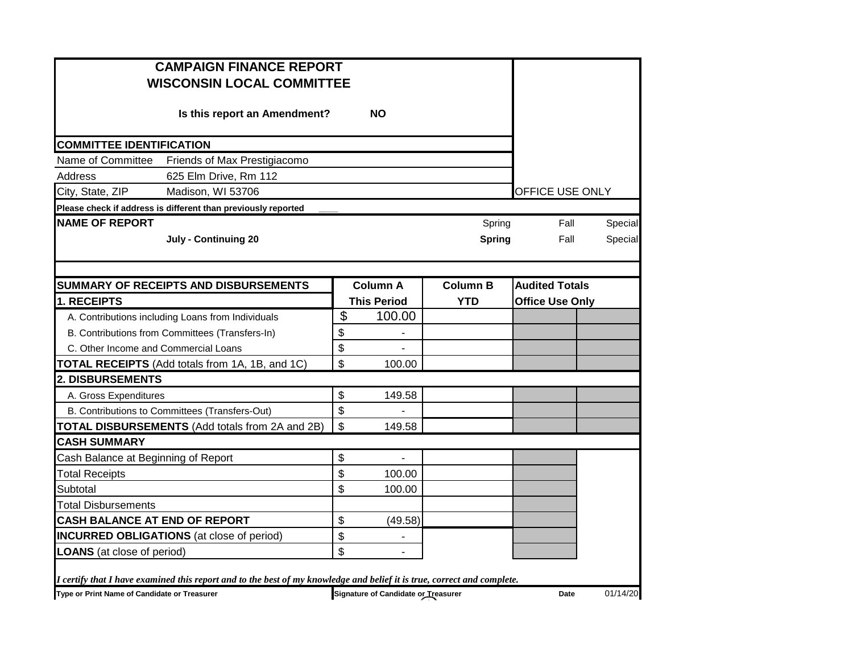| <b>CAMPAIGN FINANCE REPORT</b><br><b>WISCONSIN LOCAL COMMITTEE</b>                                                      |                |                                     |                 |                        |         |  |
|-------------------------------------------------------------------------------------------------------------------------|----------------|-------------------------------------|-----------------|------------------------|---------|--|
| Is this report an Amendment?                                                                                            |                |                                     |                 |                        |         |  |
| <b>COMMITTEE IDENTIFICATION</b>                                                                                         |                |                                     |                 |                        |         |  |
| Name of Committee<br>Friends of Max Prestigiacomo                                                                       |                |                                     |                 |                        |         |  |
| 625 Elm Drive, Rm 112<br>Address                                                                                        |                |                                     |                 |                        |         |  |
| City, State, ZIP<br>Madison, WI 53706                                                                                   |                |                                     |                 | OFFICE USE ONLY        |         |  |
| Please check if address is different than previously reported                                                           |                |                                     |                 |                        |         |  |
| <b>NAME OF REPORT</b>                                                                                                   |                |                                     | Spring          | Fall                   | Special |  |
| <b>July - Continuing 20</b>                                                                                             |                |                                     | <b>Spring</b>   | Fall                   | Special |  |
|                                                                                                                         |                |                                     |                 |                        |         |  |
| SUMMARY OF RECEIPTS AND DISBURSEMENTS                                                                                   |                | <b>Column A</b>                     | <b>Column B</b> | <b>Audited Totals</b>  |         |  |
| 1. RECEIPTS                                                                                                             |                | <b>This Period</b>                  | <b>YTD</b>      | <b>Office Use Only</b> |         |  |
| A. Contributions including Loans from Individuals                                                                       | $\mathfrak{S}$ | 100.00                              |                 |                        |         |  |
| B. Contributions from Committees (Transfers-In)                                                                         | \$             |                                     |                 |                        |         |  |
| C. Other Income and Commercial Loans                                                                                    | \$             |                                     |                 |                        |         |  |
| <b>TOTAL RECEIPTS</b> (Add totals from 1A, 1B, and 1C)                                                                  | \$             | 100.00                              |                 |                        |         |  |
| <b>2. DISBURSEMENTS</b>                                                                                                 |                |                                     |                 |                        |         |  |
| A. Gross Expenditures                                                                                                   | \$             | 149.58                              |                 |                        |         |  |
| B. Contributions to Committees (Transfers-Out)                                                                          | \$             |                                     |                 |                        |         |  |
| TOTAL DISBURSEMENTS (Add totals from 2A and 2B)                                                                         | \$             | 149.58                              |                 |                        |         |  |
| <b>CASH SUMMARY</b>                                                                                                     |                |                                     |                 |                        |         |  |
| Cash Balance at Beginning of Report                                                                                     | \$             | $\blacksquare$                      |                 |                        |         |  |
| <b>Total Receipts</b>                                                                                                   | \$             | 100.00                              |                 |                        |         |  |
| Subtotal                                                                                                                | \$             | 100.00                              |                 |                        |         |  |
| Total Disbursements                                                                                                     |                |                                     |                 |                        |         |  |
| CASH BALANCE AT END OF REPORT                                                                                           | \$             | (49.58)                             |                 |                        |         |  |
| <b>INCURRED OBLIGATIONS</b> (at close of period)                                                                        | \$             | $\blacksquare$                      |                 |                        |         |  |
| <b>LOANS</b> (at close of period)                                                                                       | \$             | $\overline{\phantom{a}}$            |                 |                        |         |  |
| I certify that I have examined this report and to the best of my knowledge and belief it is true, correct and complete. |                |                                     |                 |                        |         |  |
| Type or Print Name of Candidate or Treasurer                                                                            |                | Signature of Candidate or Treasurer | Date            | 01/14/20               |         |  |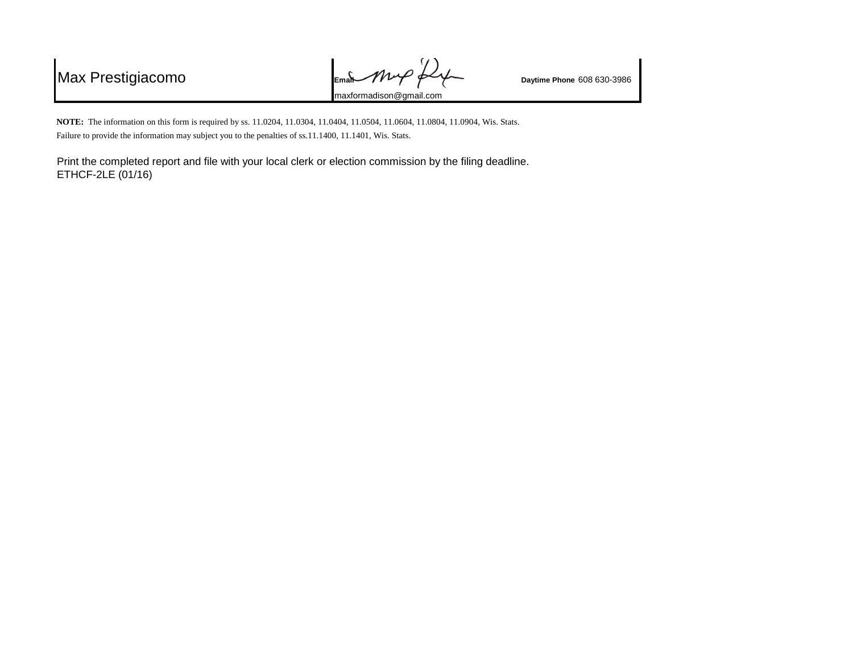Max Prestigiacomo **Email** *Phone*  $P_{\text{Example 608 630-3986}}$ maxformadison@gmail.com

**NOTE:** The information on this form is required by ss. 11.0204, 11.0304, 11.0404, 11.0504, 11.0604, 11.0804, 11.0904, Wis. Stats. Failure to provide the information may subject you to the penalties of ss.11.1400, 11.1401, Wis. Stats.

Print the completed report and file with your local clerk or election commission by the filing deadline. ETHCF-2LE (01/16)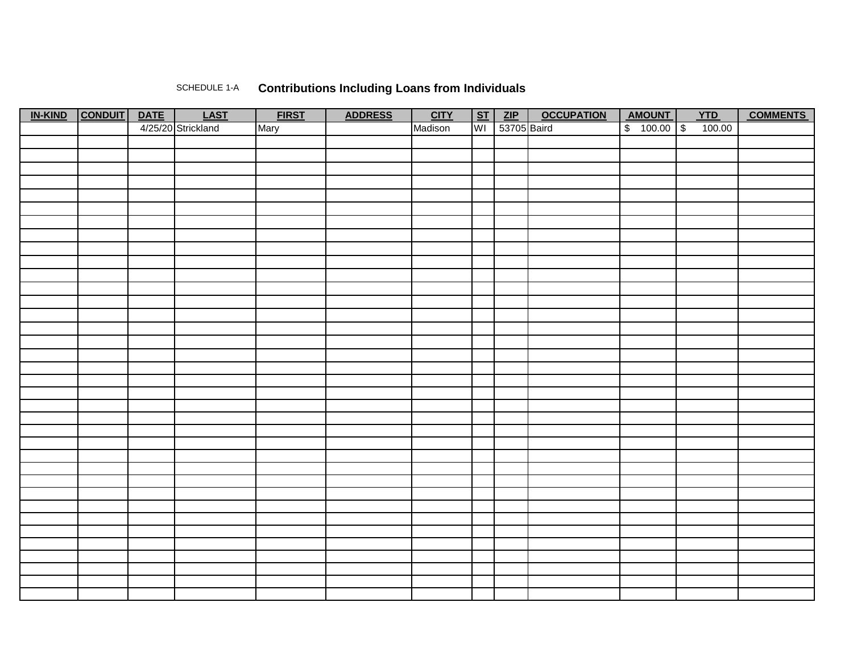## SCHEDULE 1-A **Contributions Including Loans from Individuals**

| IN-KIND CONDUIT | <b>DATE</b> | <b>LAST</b>        | <b>FIRST</b> | <b>ADDRESS</b> | <b>CITY</b> |    | $ST$ ZIP    | <b>OCCUPATION</b> | AMOUNT       | YTD    | <b>COMMENTS</b> |
|-----------------|-------------|--------------------|--------------|----------------|-------------|----|-------------|-------------------|--------------|--------|-----------------|
|                 |             | 4/25/20 Strickland | Mary         |                | Madison     | WI | 53705 Baird |                   | $$100.00$ \$ | 100.00 |                 |
|                 |             |                    |              |                |             |    |             |                   |              |        |                 |
|                 |             |                    |              |                |             |    |             |                   |              |        |                 |
|                 |             |                    |              |                |             |    |             |                   |              |        |                 |
|                 |             |                    |              |                |             |    |             |                   |              |        |                 |
|                 |             |                    |              |                |             |    |             |                   |              |        |                 |
|                 |             |                    |              |                |             |    |             |                   |              |        |                 |
|                 |             |                    |              |                |             |    |             |                   |              |        |                 |
|                 |             |                    |              |                |             |    |             |                   |              |        |                 |
|                 |             |                    |              |                |             |    |             |                   |              |        |                 |
|                 |             |                    |              |                |             |    |             |                   |              |        |                 |
|                 |             |                    |              |                |             |    |             |                   |              |        |                 |
|                 |             |                    |              |                |             |    |             |                   |              |        |                 |
|                 |             |                    |              |                |             |    |             |                   |              |        |                 |
|                 |             |                    |              |                |             |    |             |                   |              |        |                 |
|                 |             |                    |              |                |             |    |             |                   |              |        |                 |
|                 |             |                    |              |                |             |    |             |                   |              |        |                 |
|                 |             |                    |              |                |             |    |             |                   |              |        |                 |
|                 |             |                    |              |                |             |    |             |                   |              |        |                 |
|                 |             |                    |              |                |             |    |             |                   |              |        |                 |
|                 |             |                    |              |                |             |    |             |                   |              |        |                 |
|                 |             |                    |              |                |             |    |             |                   |              |        |                 |
|                 |             |                    |              |                |             |    |             |                   |              |        |                 |
|                 |             |                    |              |                |             |    |             |                   |              |        |                 |
|                 |             |                    |              |                |             |    |             |                   |              |        |                 |
|                 |             |                    |              |                |             |    |             |                   |              |        |                 |
|                 |             |                    |              |                |             |    |             |                   |              |        |                 |
|                 |             |                    |              |                |             |    |             |                   |              |        |                 |
|                 |             |                    |              |                |             |    |             |                   |              |        |                 |
|                 |             |                    |              |                |             |    |             |                   |              |        |                 |
|                 |             |                    |              |                |             |    |             |                   |              |        |                 |
|                 |             |                    |              |                |             |    |             |                   |              |        |                 |
|                 |             |                    |              |                |             |    |             |                   |              |        |                 |
|                 |             |                    |              |                |             |    |             |                   |              |        |                 |
|                 |             |                    |              |                |             |    |             |                   |              |        |                 |
|                 |             |                    |              |                |             |    |             |                   |              |        |                 |
|                 |             |                    |              |                |             |    |             |                   |              |        |                 |